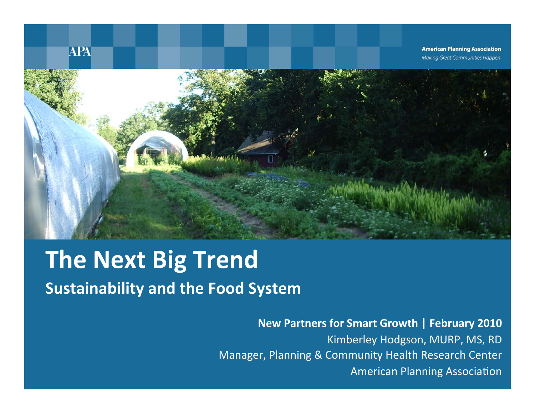

## **The Next Big Trend Sustainability and the Food System**

### New Partners for Smart Growth | February 2010

Kimberley Hodgson, MURP, MS, RD Manager, Planning & Community Health Research Center **American Planning Association**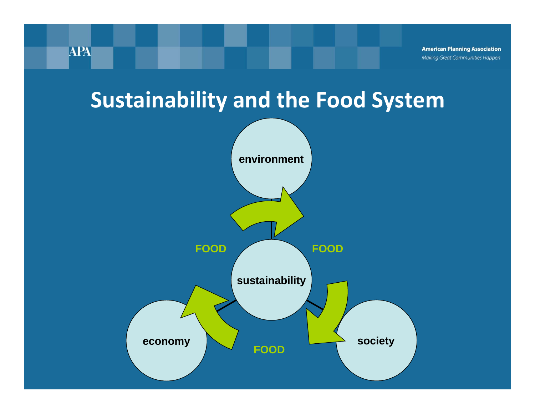## **Sustainability and the Food System**

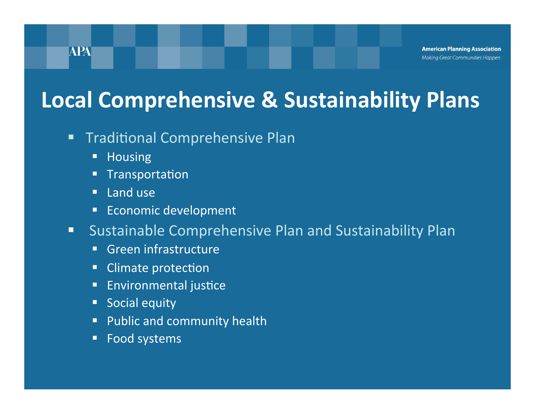## **Local Comprehensive & Sustainability Plans**

- **Traditional Comprehensive Plan** П
	- Housing  $\Box$
	- **Transportation**
	- Land use  $\blacksquare$
	- **Economic development**
- Sustainable Comprehensive Plan and Sustainability Plan  $\blacksquare$ 
	- Green infrastructure  $\blacksquare$
	- Climate protection
	- **Environmental justice**
	- Social equity
	- Public and community health
	- Food systems  $\blacksquare$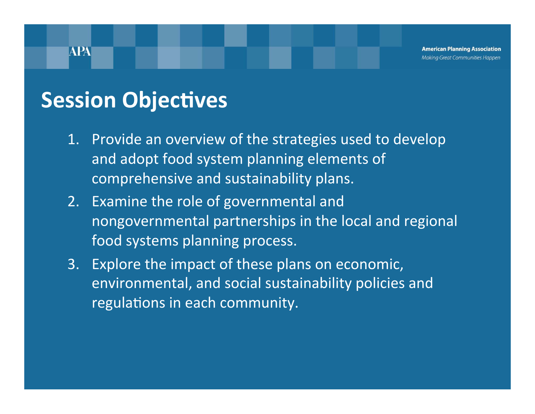**American Planning Association** Making Great Communities Happen

## **Session Objectives**

- 1. Provide an overview of the strategies used to develop and adopt food system planning elements of comprehensive and sustainability plans.
- 2. Examine the role of governmental and nongovernmental partnerships in the local and regional food systems planning process.
- Explore the impact of these plans on economic,  $3.$ environmental, and social sustainability policies and regulations in each community.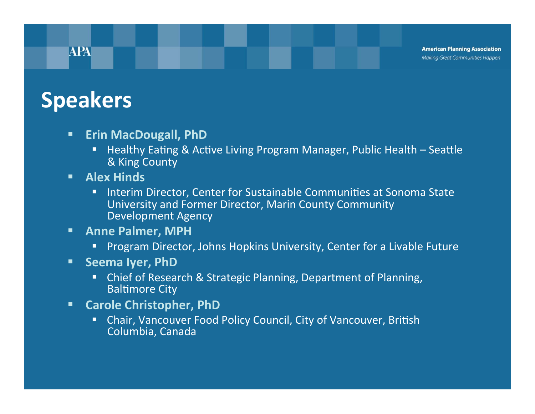**American Planning Association** Making Great Communities Happen

## **Speakers**

- **Erin MacDougall, PhD**  $\blacksquare$ 
	- Healthy Eating & Active Living Program Manager, Public Health Seattle & King County
- **Alex Hinds** п
	- Interim Director, Center for Sustainable Communities at Sonoma State п, University and Former Director, Marin County Community **Development Agency**
- **Anne Palmer, MPH** π
	- Program Director, Johns Hopkins University, Center for a Livable Future п,
- **Seema Iyer, PhD**  $\blacksquare$ 
	- Chief of Research & Strategic Planning, Department of Planning, **Baltimore City**
- **Carole Christopher, PhD** п
	- Chair, Vancouver Food Policy Council, City of Vancouver, British п Columbia, Canada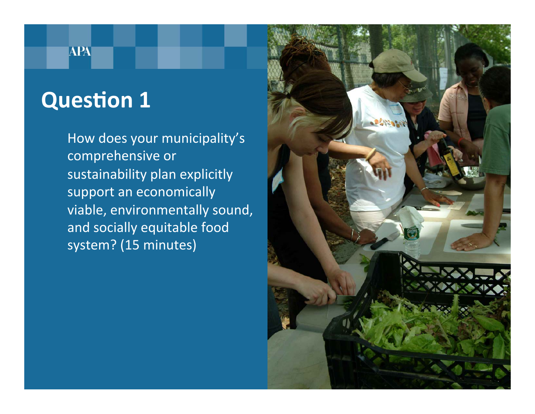# **Question 1**

**APA** 

How does your municipality's comprehensive or sustainability plan explicitly support an economically viable, environmentally sound, and socially equitable food system? (15 minutes)

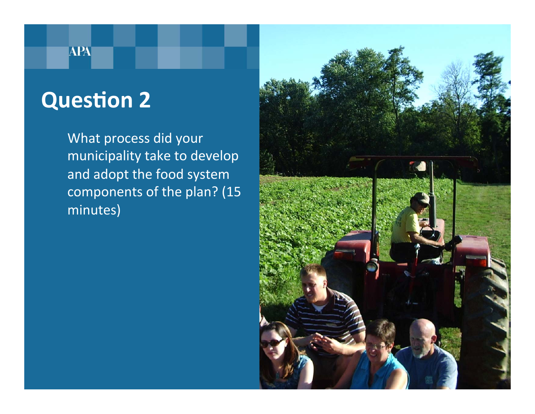### **APA**

# **Question 2**

What process did your municipality take to develop and adopt the food system components of the plan? (15 minutes)

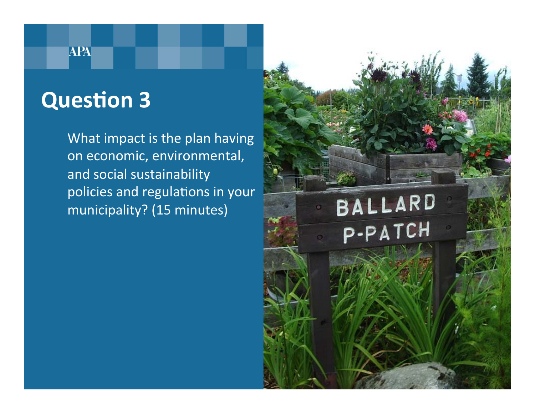## **Question 3**

**APA** 

What impact is the plan having on economic, environmental, and social sustainability policies and regulations in your municipality? (15 minutes)

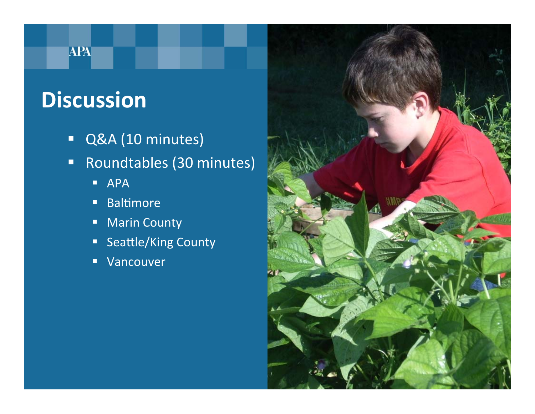## **APA**

## **Discussion**

- Q&A (10 minutes)  $\blacksquare$
- Roundtables (30 minutes)  $\blacksquare$ 
	- **APA**
	- **Baltimore**  $\blacksquare$
	- **Marin County**  $\blacksquare$
	- Seattle/King County
	- Vancouver